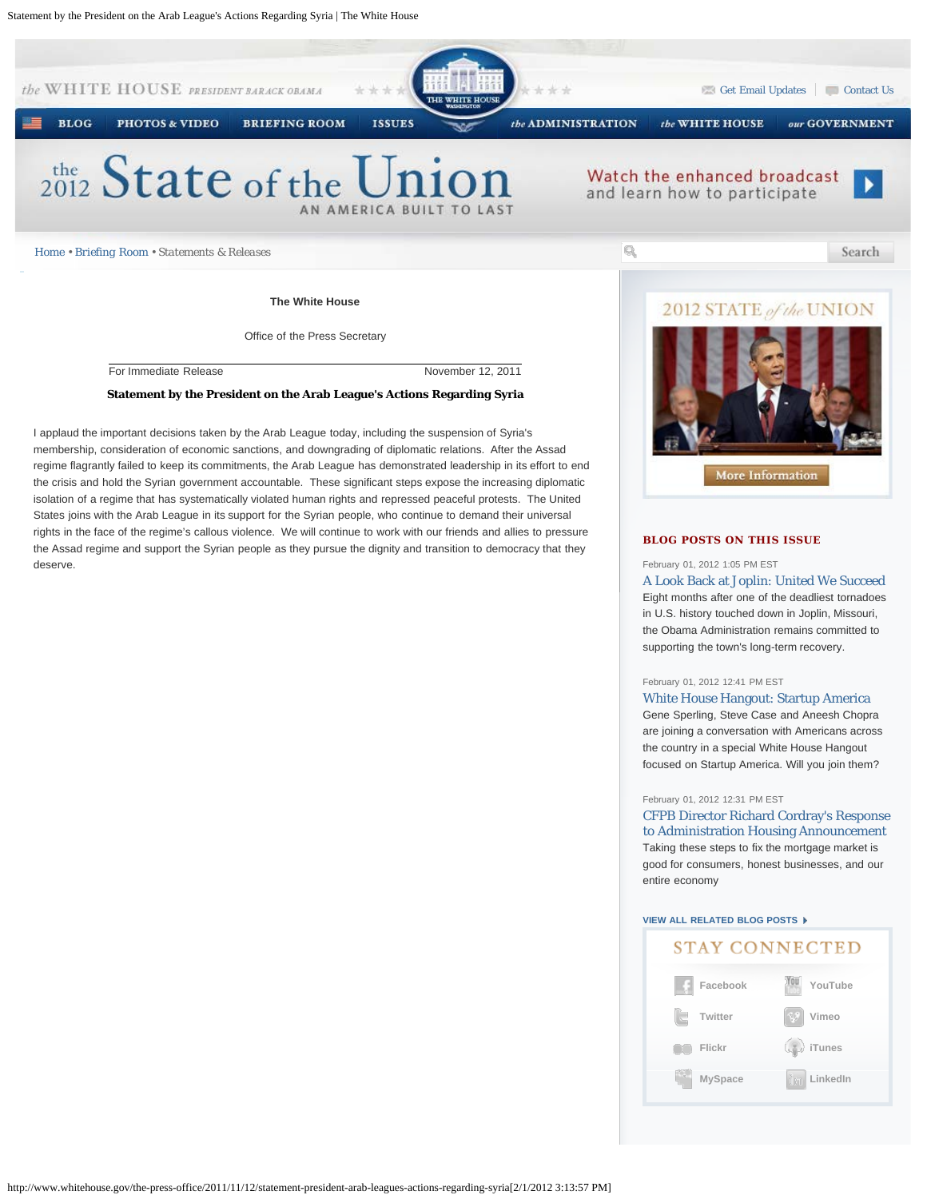

For Immediate Release November 12, 2011

#### **Statement by the President on the Arab League's Actions Regarding Syria**

I applaud the important decisions taken by the Arab League today, including the suspension of Syria's membership, consideration of economic sanctions, and downgrading of diplomatic relations. After the Assad regime flagrantly failed to keep its commitments, the Arab League has demonstrated leadership in its effort to end the crisis and hold the Syrian government accountable. These significant steps expose the increasing diplomatic isolation of a regime that has systematically violated human rights and repressed peaceful protests. The United States joins with the Arab League in its support for the Syrian people, who continue to demand their universal rights in the face of the regime's callous violence. We will continue to work with our friends and allies to pressure the Assad regime and support the Syrian people as they pursue the dignity and transition to democracy that they deserve.



# **BLOG POSTS ON THIS ISSUE**

#### February 01, 2012 1:05 PM EST

[A Look Back at Joplin: United We Succeed](http://www.whitehouse.gov/blog/2012/02/01/look-back-joplin-united-we-succeed) Eight months after one of the deadliest tornadoes in U.S. history touched down in Joplin, Missouri, the Obama Administration remains committed to supporting the town's long-term recovery.

#### February 01, 2012 12:41 PM EST

[White House Hangout: Startup America](http://www.whitehouse.gov/blog/2012/02/01/white-house-hangout-startup-america) Gene Sperling, Steve Case and Aneesh Chopra are joining a conversation with Americans across the country in a special White House Hangout focused on Startup America. Will you join them?

## February 01, 2012 12:31 PM EST

[CFPB Director Richard Cordray's Response](http://www.whitehouse.gov/blog/2012/02/01/cfpb-director-richard-cordrays-response-administration-housing-announcement) [to Administration Housing Announcement](http://www.whitehouse.gov/blog/2012/02/01/cfpb-director-richard-cordrays-response-administration-housing-announcement) Taking these steps to fix the mortgage market is good for consumers, honest businesses, and our entire economy

### **[VIEW ALL RELATED BLOG POSTS](http://www.whitehouse.gov/blog/issues/white-house)**

# **STAY CONNECTED**